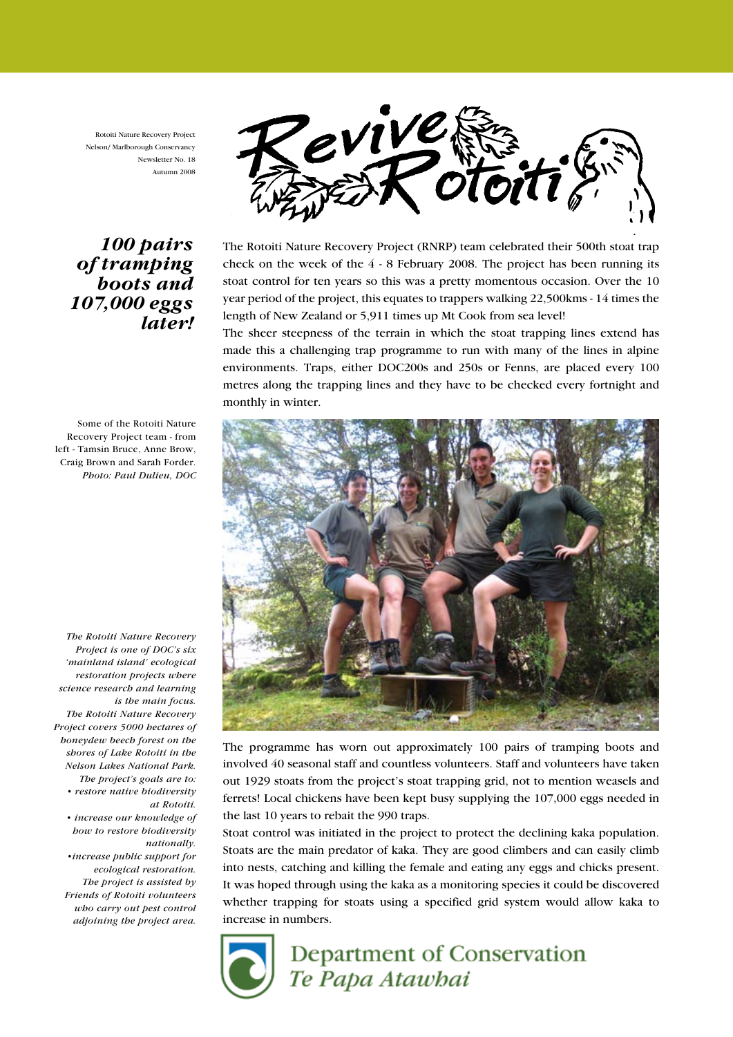Rotoiti Nature Recovery Project Nelson/ Marlborough Conservancy Newsletter No. 18 Autumn 2008





The Rotoiti Nature Recovery Project (RNRP) team celebrated their 500th stoat trap check on the week of the 4 - 8 February 2008. The project has been running its stoat control for ten years so this was a pretty momentous occasion. Over the 10 year period of the project, this equates to trappers walking 22,500kms - 14 times the length of New Zealand or 5,911 times up Mt Cook from sea level!

The sheer steepness of the terrain in which the stoat trapping lines extend has made this a challenging trap programme to run with many of the lines in alpine environments. Traps, either DOC200s and 250s or Fenns, are placed every 100 metres along the trapping lines and they have to be checked every fortnight and monthly in winter.



The programme has worn out approximately 100 pairs of tramping boots and involved 40 seasonal staff and countless volunteers. Staff and volunteers have taken out 1929 stoats from the project's stoat trapping grid, not to mention weasels and ferrets! Local chickens have been kept busy supplying the 107,000 eggs needed in the last 10 years to rebait the 990 traps.

Stoat control was initiated in the project to protect the declining kaka population. Stoats are the main predator of kaka. They are good climbers and can easily climb into nests, catching and killing the female and eating any eggs and chicks present. It was hoped through using the kaka as a monitoring species it could be discovered whether trapping for stoats using a specified grid system would allow kaka to increase in numbers.



# Department of Conservation Te Papa Atawbai

Some of the Rotoiti Nature Recovery Project team - from left - Tamsin Bruce, Anne Brow, Craig Brown and Sarah Forder. Photo: Paul Dulieu, DOC

The Rotoiti Nature Recovery Project is one of DOC's six 'mainland island' ecological restoration projects where science research and learning is the main focus. The Rotoiti Nature Recovery Project covers 5000 hectares of honeydew beech forest on the shores of Lake Rotoiti in the Nelson Lakes National Park. The project's goals are to: • restore native biodiversity

at Rotoiti.

• increase our knowledge of how to restore biodiversity nationally.

•increase public support for ecological restoration. The project is assisted by Friends of Rotoiti volunteers who carry out pest control adjoining the project area.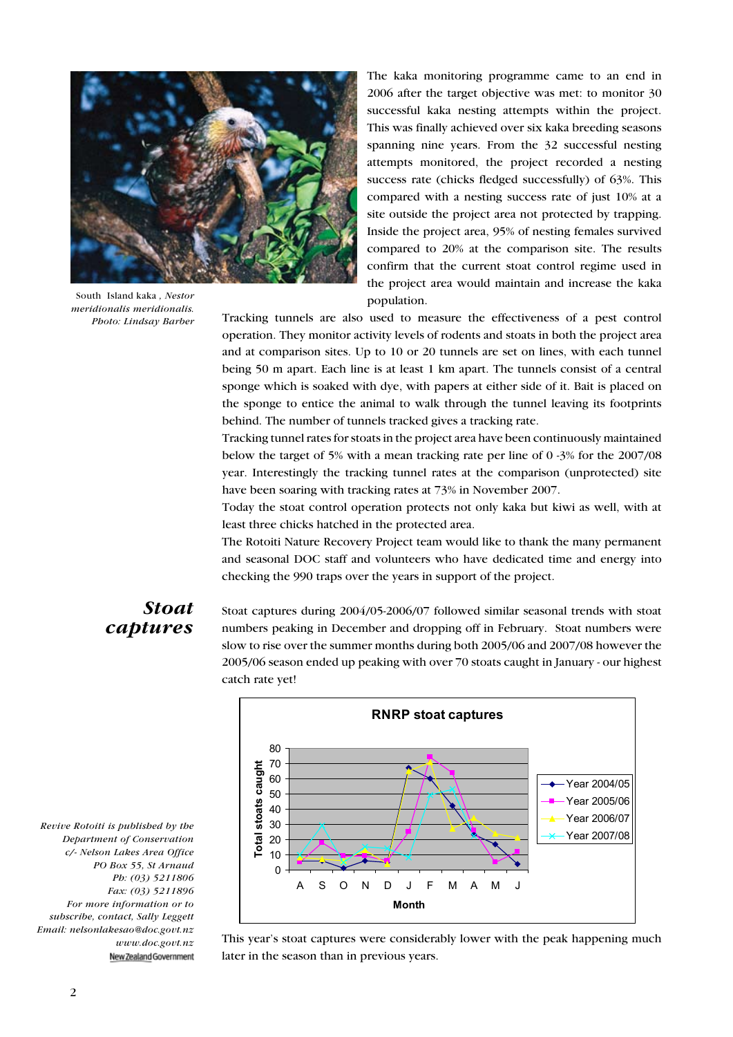

South Island kaka , Nestor meridionalis meridionalis. Photo: Lindsay Barber

The kaka monitoring programme came to an end in 2006 after the target objective was met: to monitor 30 successful kaka nesting attempts within the project. This was finally achieved over six kaka breeding seasons spanning nine years. From the 32 successful nesting attempts monitored, the project recorded a nesting success rate (chicks fledged successfully) of 63%. This compared with a nesting success rate of just 10% at a site outside the project area not protected by trapping. Inside the project area, 95% of nesting females survived compared to 20% at the comparison site. The results confirm that the current stoat control regime used in the project area would maintain and increase the kaka population.

Tracking tunnels are also used to measure the effectiveness of a pest control operation. They monitor activity levels of rodents and stoats in both the project area and at comparison sites. Up to 10 or 20 tunnels are set on lines, with each tunnel being 50 m apart. Each line is at least 1 km apart. The tunnels consist of a central sponge which is soaked with dye, with papers at either side of it. Bait is placed on the sponge to entice the animal to walk through the tunnel leaving its footprints behind. The number of tunnels tracked gives a tracking rate.

Tracking tunnel rates for stoats in the project area have been continuously maintained below the target of 5% with a mean tracking rate per line of 0 -3% for the 2007/08 year. Interestingly the tracking tunnel rates at the comparison (unprotected) site have been soaring with tracking rates at 73% in November 2007.

Today the stoat control operation protects not only kaka but kiwi as well, with at least three chicks hatched in the protected area.

The Rotoiti Nature Recovery Project team would like to thank the many permanent and seasonal DOC staff and volunteers who have dedicated time and energy into checking the 990 traps over the years in support of the project.

### Stoat captures

Stoat captures during 2004/05-2006/07 followed similar seasonal trends with stoat numbers peaking in December and dropping off in February. Stoat numbers were slow to rise over the summer months during both 2005/06 and 2007/08 however the 2005/06 season ended up peaking with over 70 stoats caught in January - our highest catch rate yet!

Revive Rotoiti is published by the Department of Conservation c/- Nelson Lakes Area Office PO Box 55, St Arnaud Ph: (03) 5211806 Fax: (03) 5211896 For more information or to subscribe, contact, Sally Leggett Email: nelsonlakesao@doc.govt.nz www.doc.govt.nz New Zealand Government



This year's stoat captures were considerably lower with the peak happening much later in the season than in previous years.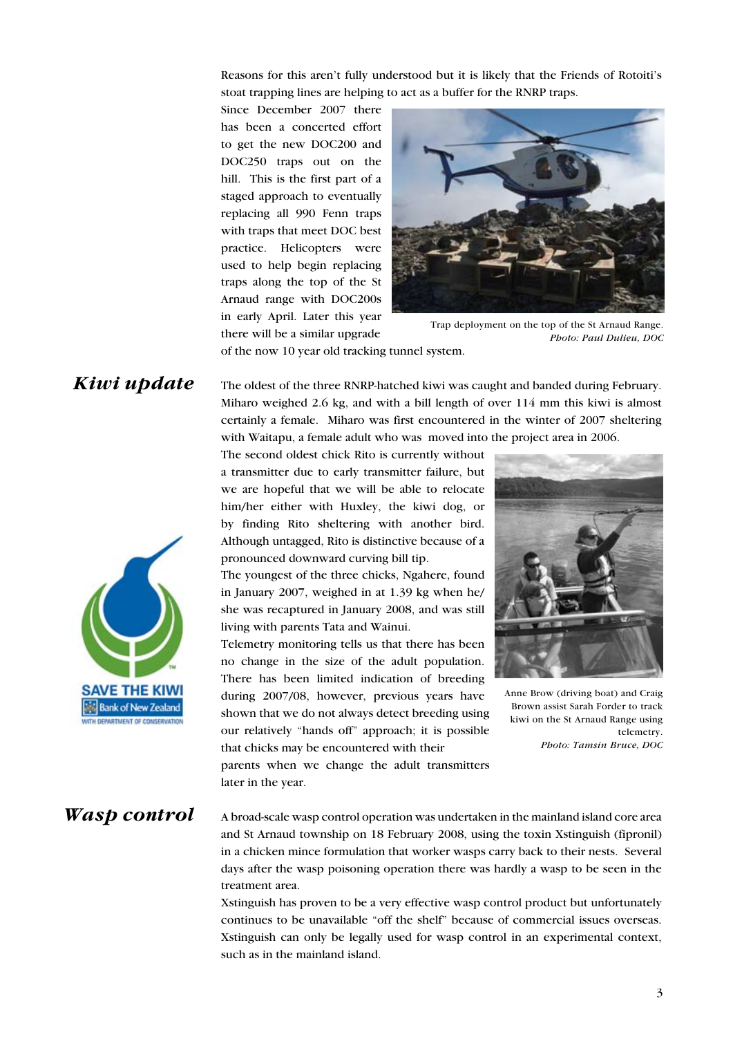Reasons for this aren't fully understood but it is likely that the Friends of Rotoiti's stoat trapping lines are helping to act as a buffer for the RNRP traps.

Since December 2007 there has been a concerted effort to get the new DOC200 and DOC250 traps out on the hill. This is the first part of a staged approach to eventually replacing all 990 Fenn traps with traps that meet DOC best practice. Helicopters were used to help begin replacing traps along the top of the St Arnaud range with DOC200s in early April. Later this year there will be a similar upgrade



Trap deployment on the top of the St Arnaud Range. Photo: Paul Dulieu, DOC

of the now 10 year old tracking tunnel system.

## Kiwi update

The oldest of the three RNRP-hatched kiwi was caught and banded during February. Miharo weighed 2.6 kg, and with a bill length of over 114 mm this kiwi is almost certainly a female. Miharo was first encountered in the winter of 2007 sheltering with Waitapu, a female adult who was moved into the project area in 2006.

The second oldest chick Rito is currently without a transmitter due to early transmitter failure, but we are hopeful that we will be able to relocate him/her either with Huxley, the kiwi dog, or by finding Rito sheltering with another bird. Although untagged, Rito is distinctive because of a pronounced downward curving bill tip.

The youngest of the three chicks, Ngahere, found in January 2007, weighed in at 1.39 kg when he/ she was recaptured in January 2008, and was still living with parents Tata and Wainui.

Telemetry monitoring tells us that there has been no change in the size of the adult population. There has been limited indication of breeding during 2007/08, however, previous years have shown that we do not always detect breeding using our relatively "hands off" approach; it is possible that chicks may be encountered with their



Anne Brow (driving boat) and Craig Brown assist Sarah Forder to track kiwi on the St Arnaud Range using telemetry. Photo: Tamsin Bruce, DOC

parents when we change the adult transmitters later in the year.

#### A broad-scale wasp control operation was undertaken in the mainland island core area and St Arnaud township on 18 February 2008, using the toxin Xstinguish (fipronil) in a chicken mince formulation that worker wasps carry back to their nests. Several days after the wasp poisoning operation there was hardly a wasp to be seen in the treatment area. Wasp control

Xstinguish has proven to be a very effective wasp control product but unfortunately continues to be unavailable "off the shelf" because of commercial issues overseas. Xstinguish can only be legally used for wasp control in an experimental context, such as in the mainland island.